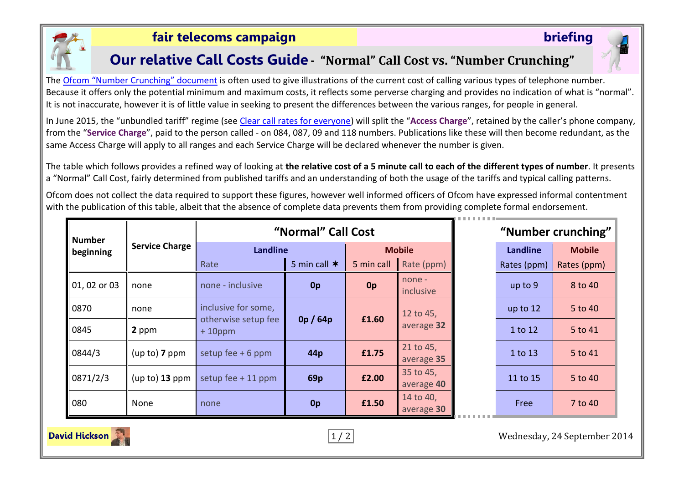

#### **fair telecoms campaign briefing**

#### **Our relative Call Costs Guide - "Normal" Call Cost vs. "Number Crunching"**

The Ofcom "[Number Crunching](http://consumers.ofcom.org.uk/files/2010/01/numbering.pdf)" document is often used to give illustrations of the current cost of calling various types of telephone number. Because it offers only the potential minimum and maximum costs, it reflects some perverse charging and provides no indication of what is "normal". It is not inaccurate, however it is of little value in seeking to present the differences between the various ranges, for people in general.

In June 2015, the "unbundled tariff" regime (see [Clear call rates for everyone\)](http://www.ukcalling.info/) will split the "**Access Charge**", retained by the caller's phone company, from the "**Service Charge**", paid to the person called - on 084, 087, 09 and 118 numbers. Publications like these will then become redundant, as the same Access Charge will apply to all ranges and each Service Charge will be declared whenever the number is given.

The table which follows provides a refined way of looking at **the relative cost of a 5 minute call to each of the different types of number**. It presents a "Normal" Call Cost, fairly determined from published tariffs and an understanding of both the usage of the tariffs and typical calling patterns.

Ofcom does not collect the data required to support these figures, however well informed officers of Ofcom have expressed informal contentment with the publication of this table, albeit that the absence of complete data prevents them from providing complete formal endorsement.

| <b>Number</b><br>beginning | <b>Service Charge</b> | "Normal" Call Cost                                      |                 |                |                         | "Number crunching" |             |               |
|----------------------------|-----------------------|---------------------------------------------------------|-----------------|----------------|-------------------------|--------------------|-------------|---------------|
|                            |                       | <b>Landline</b>                                         |                 | <b>Mobile</b>  |                         |                    | Landline    | <b>Mobile</b> |
|                            |                       | Rate                                                    | 5 min call $*$  | 5 min call     | Rate (ppm)              |                    | Rates (ppm) | Rates (ppm)   |
| $ 01, 02$ or 03            | none                  | none - inclusive                                        | 0p              | 0 <sub>p</sub> | $none -$<br>inclusive   |                    | up to $9$   | 8 to 40       |
| 0870                       | none                  | inclusive for some,<br>otherwise setup fee<br>$+10$ ppm | 0p/64p          | £1.60          | 12 to 45,               |                    | up to 12    | 5 to 40       |
| 0845                       | 2 ppm                 |                                                         |                 |                | average 32              |                    | 1 to 12     | 5 to 41       |
| 0844/3                     | $(up to)$ 7 ppm       | setup fee $+6$ ppm                                      | 44 <sub>p</sub> | £1.75          | 21 to 45,<br>average 35 |                    | 1 to 13     | 5 to 41       |
| 0871/2/3                   | $(up to)$ 13 ppm      | setup fee $+11$ ppm                                     | 69 <sub>p</sub> | £2.00          | 35 to 45,<br>average 40 |                    | 11 to 15    | 5 to 40       |
| 080                        | None                  | none                                                    | 0 <sub>p</sub>  | £1.50          | 14 to 40,<br>average 30 |                    | <b>Free</b> | 7 to 40       |

1 / 2 Wednesday, 24 September 2014

**David Hickson**